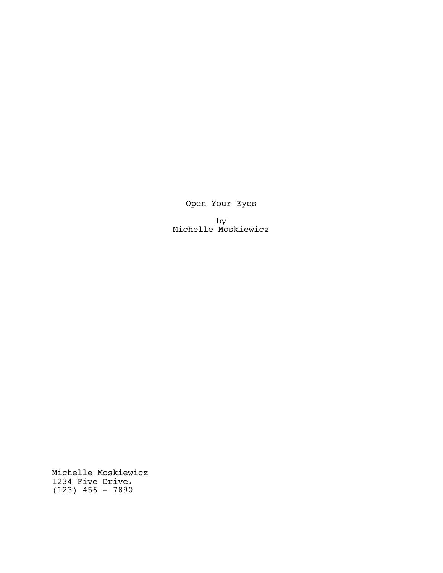Open Your Eyes

by Michelle Moskiewicz

Michelle Moskiewicz 1234 Five Drive. (123) 456 - 7890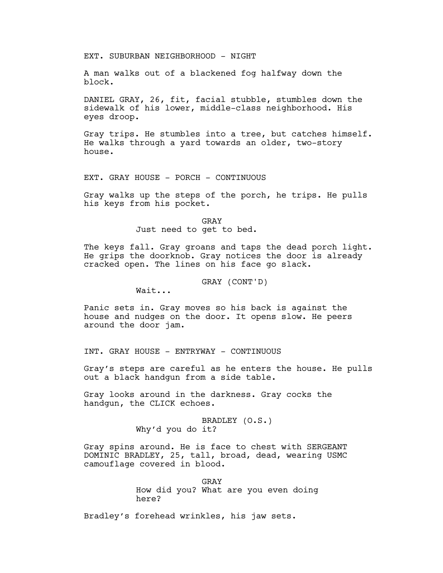EXT. SUBURBAN NEIGHBORHOOD - NIGHT

A man walks out of a blackened fog halfway down the block.

DANIEL GRAY, 26, fit, facial stubble, stumbles down the sidewalk of his lower, middle-class neighborhood. His eyes droop.

Gray trips. He stumbles into a tree, but catches himself. He walks through a yard towards an older, two-story house.

EXT. GRAY HOUSE - PORCH - CONTINUOUS

Gray walks up the steps of the porch, he trips. He pulls his keys from his pocket.

> GRAY Just need to get to bed.

The keys fall. Gray groans and taps the dead porch light. He grips the doorknob. Gray notices the door is already cracked open. The lines on his face go slack.

GRAY (CONT'D)

Wait...

Panic sets in. Gray moves so his back is against the house and nudges on the door. It opens slow. He peers around the door jam.

INT. GRAY HOUSE - ENTRYWAY - CONTINUOUS

Gray's steps are careful as he enters the house. He pulls out a black handgun from a side table.

Gray looks around in the darkness. Gray cocks the handgun, the CLICK echoes.

> BRADLEY (O.S.) Why'd you do it?

Gray spins around. He is face to chest with SERGEANT DOMINIC BRADLEY, 25, tall, broad, dead, wearing USMC camouflage covered in blood.

> GRAY How did you? What are you even doing here?

Bradley's forehead wrinkles, his jaw sets.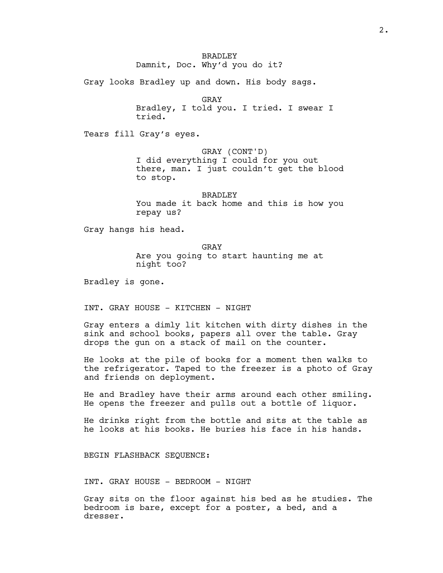BRADLEY Damnit, Doc. Why'd you do it?

Gray looks Bradley up and down. His body sags.

GRAY

Bradley, I told you. I tried. I swear I tried.

Tears fill Gray's eyes.

GRAY (CONT'D)

I did everything I could for you out there, man. I just couldn't get the blood to stop.

BRADLEY You made it back home and this is how you repay us?

Gray hangs his head.

GRAY Are you going to start haunting me at night too?

Bradley is gone.

INT. GRAY HOUSE - KITCHEN - NIGHT

Gray enters a dimly lit kitchen with dirty dishes in the sink and school books, papers all over the table. Gray drops the gun on a stack of mail on the counter.

He looks at the pile of books for a moment then walks to the refrigerator. Taped to the freezer is a photo of Gray and friends on deployment.

He and Bradley have their arms around each other smiling. He opens the freezer and pulls out a bottle of liquor.

He drinks right from the bottle and sits at the table as he looks at his books. He buries his face in his hands.

BEGIN FLASHBACK SEQUENCE:

INT. GRAY HOUSE - BEDROOM - NIGHT

Gray sits on the floor against his bed as he studies. The bedroom is bare, except for a poster, a bed, and a dresser.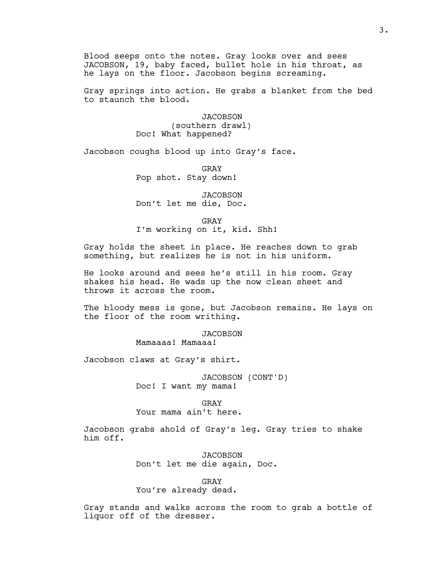Blood seeps onto the notes. Gray looks over and sees JACOBSON, 19, baby faced, bullet hole in his throat, as he lays on the floor. Jacobson begins screaming.

Gray springs into action. He grabs a blanket from the bed to staunch the blood.

> **JACOBSON** (southern drawl) Doc! What happened?

Jacobson coughs blood up into Gray's face.

GRAY Pop shot. Stay down!

**JACOBSON** Don't let me die, Doc.

GRAY I'm working on it, kid. Shh!

Gray holds the sheet in place. He reaches down to grab something, but realizes he is not in his uniform.

He looks around and sees he's still in his room. Gray shakes his head. He wads up the now clean sheet and throws it across the room.

The bloody mess is gone, but Jacobson remains. He lays on the floor of the room writhing.

> JACOBSON Mamaaaa! Mamaaa!

Jacobson claws at Gray's shirt.

JACOBSON (CONT'D) Doc! I want my mama!

GRAY

Your mama ain't here.

Jacobson grabs ahold of Gray's leg. Gray tries to shake him off.

> **JACOBSON** Don't let me die again, Doc.

> > GRAY

You're already dead.

Gray stands and walks across the room to grab a bottle of liquor off of the dresser.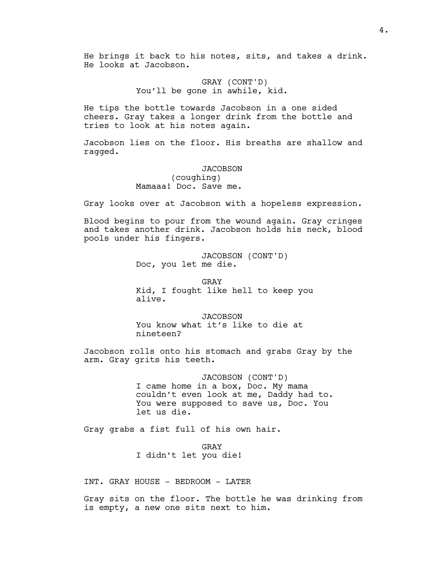He brings it back to his notes, sits, and takes a drink. He looks at Jacobson.

> GRAY (CONT'D) You'll be gone in awhile, kid.

He tips the bottle towards Jacobson in a one sided cheers. Gray takes a longer drink from the bottle and tries to look at his notes again.

Jacobson lies on the floor. His breaths are shallow and ragged.

JACOBSON

(coughing) Mamaaa! Doc. Save me.

Gray looks over at Jacobson with a hopeless expression.

Blood begins to pour from the wound again. Gray cringes and takes another drink. Jacobson holds his neck, blood pools under his fingers.

> JACOBSON (CONT'D) Doc, you let me die.

GRAY Kid, I fought like hell to keep you alive.

**JACOBSON** You know what it's like to die at nineteen?

Jacobson rolls onto his stomach and grabs Gray by the arm. Gray grits his teeth.

> JACOBSON (CONT'D) I came home in a box, Doc. My mama couldn't even look at me, Daddy had to. You were supposed to save us, Doc. You let us die.

Gray grabs a fist full of his own hair.

GRAY I didn't let you die!

INT. GRAY HOUSE - BEDROOM - LATER

Gray sits on the floor. The bottle he was drinking from is empty, a new one sits next to him.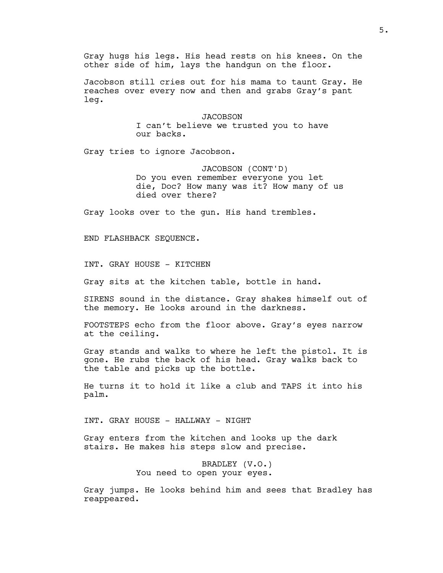Gray hugs his legs. His head rests on his knees. On the other side of him, lays the handgun on the floor.

Jacobson still cries out for his mama to taunt Gray. He reaches over every now and then and grabs Gray's pant leg.

> **JACOBSON** I can't believe we trusted you to have our backs.

Gray tries to ignore Jacobson.

JACOBSON (CONT'D) Do you even remember everyone you let die, Doc? How many was it? How many of us died over there?

Gray looks over to the gun. His hand trembles.

END FLASHBACK SEQUENCE.

INT. GRAY HOUSE - KITCHEN

Gray sits at the kitchen table, bottle in hand.

SIRENS sound in the distance. Gray shakes himself out of the memory. He looks around in the darkness.

FOOTSTEPS echo from the floor above. Gray's eyes narrow at the ceiling.

Gray stands and walks to where he left the pistol. It is gone. He rubs the back of his head. Gray walks back to the table and picks up the bottle.

He turns it to hold it like a club and TAPS it into his palm.

INT. GRAY HOUSE - HALLWAY - NIGHT

Gray enters from the kitchen and looks up the dark stairs. He makes his steps slow and precise.

> BRADLEY (V.O.) You need to open your eyes.

Gray jumps. He looks behind him and sees that Bradley has reappeared.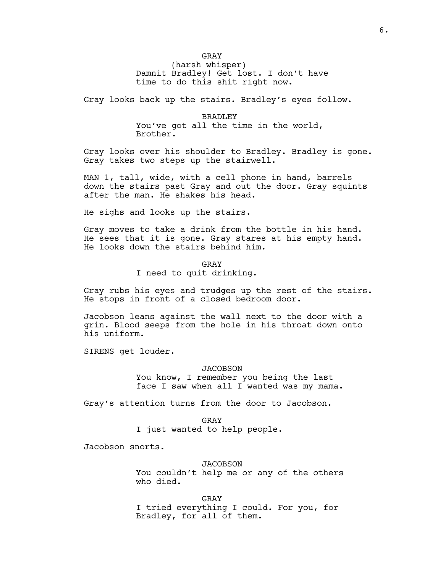GRAY (harsh whisper) Damnit Bradley! Get lost. I don't have time to do this shit right now.

Gray looks back up the stairs. Bradley's eyes follow.

BRADLEY You've got all the time in the world, Brother.

Gray looks over his shoulder to Bradley. Bradley is gone. Gray takes two steps up the stairwell.

MAN 1, tall, wide, with a cell phone in hand, barrels down the stairs past Gray and out the door. Gray squints after the man. He shakes his head.

He sighs and looks up the stairs.

Gray moves to take a drink from the bottle in his hand. He sees that it is gone. Gray stares at his empty hand. He looks down the stairs behind him.

GRAY

I need to quit drinking.

Gray rubs his eyes and trudges up the rest of the stairs. He stops in front of a closed bedroom door.

Jacobson leans against the wall next to the door with a grin. Blood seeps from the hole in his throat down onto his uniform.

SIRENS get louder.

JACOBSON

You know, I remember you being the last face I saw when all I wanted was my mama.

Gray's attention turns from the door to Jacobson.

GRAY

I just wanted to help people.

Jacobson snorts.

JACOBSON

You couldn't help me or any of the others who died.

GRAY I tried everything I could. For you, for Bradley, for all of them.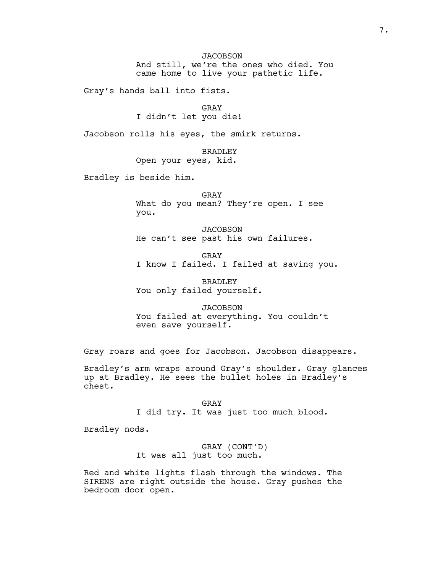**JACOBSON** And still, we're the ones who died. You came home to live your pathetic life.

Gray's hands ball into fists.

GRAY I didn't let you die!

Jacobson rolls his eyes, the smirk returns.

BRADLEY Open your eyes, kid.

Bradley is beside him.

GRAY What do you mean? They're open. I see you.

JACOBSON He can't see past his own failures.

GRAY I know I failed. I failed at saving you.

BRADLEY You only failed yourself.

JACOBSON You failed at everything. You couldn't even save yourself.

Gray roars and goes for Jacobson. Jacobson disappears.

Bradley's arm wraps around Gray's shoulder. Gray glances up at Bradley. He sees the bullet holes in Bradley's chest.

> GRAY I did try. It was just too much blood.

Bradley nods.

GRAY (CONT'D) It was all just too much.

Red and white lights flash through the windows. The SIRENS are right outside the house. Gray pushes the bedroom door open.